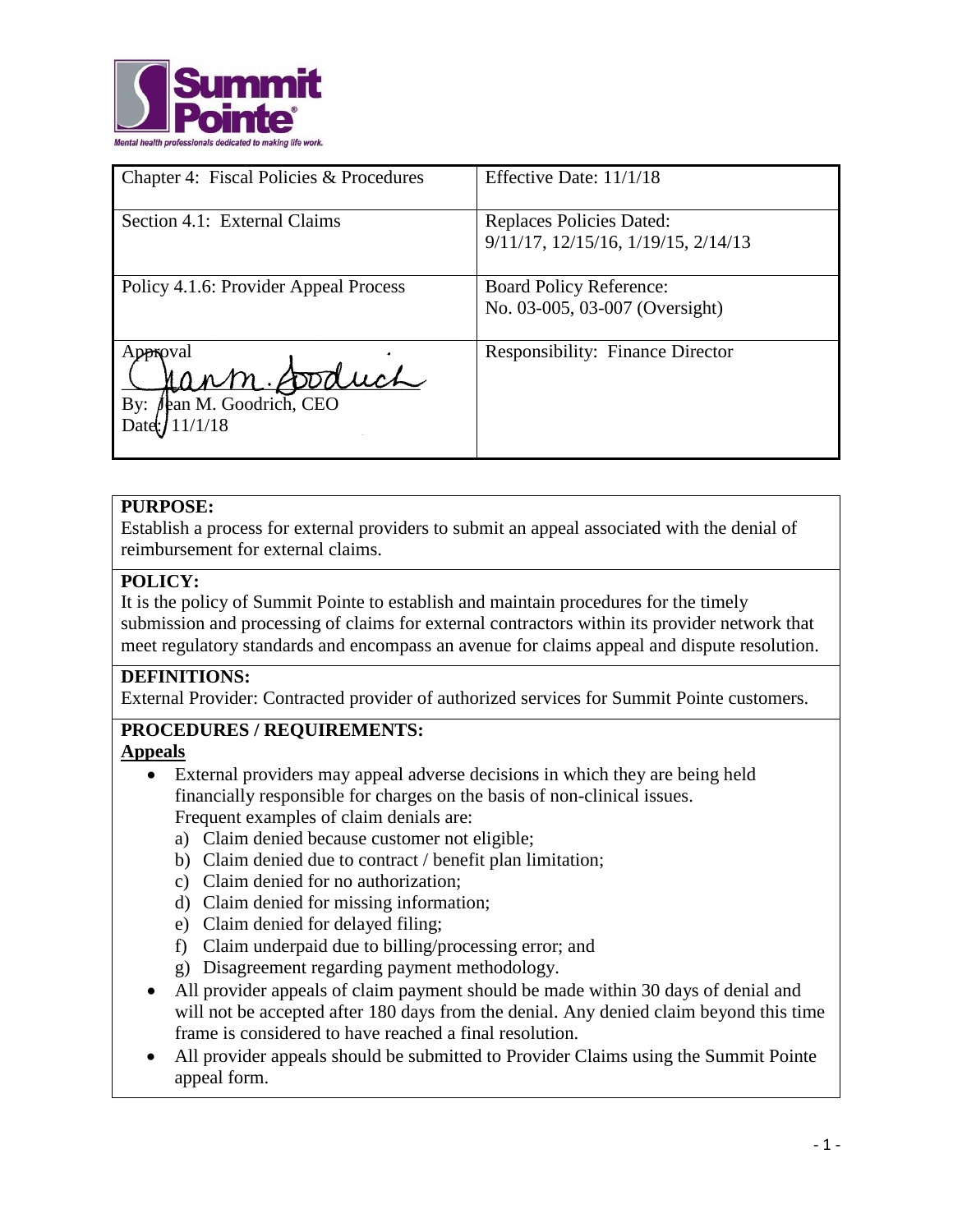

| Chapter 4: Fiscal Policies & Procedures                        | Effective Date: 11/1/18                                          |
|----------------------------------------------------------------|------------------------------------------------------------------|
| Section 4.1: External Claims                                   | Replaces Policies Dated:<br>9/11/17, 12/15/16, 1/19/15, 2/14/13  |
| Policy 4.1.6: Provider Appeal Process                          | <b>Board Policy Reference:</b><br>No. 03-005, 03-007 (Oversight) |
| Approval<br>ann Soduch<br><b>Jean M. Goodrich</b> , CEO<br>By: | <b>Responsibility: Finance Director</b>                          |

## **PURPOSE:**

Establish a process for external providers to submit an appeal associated with the denial of reimbursement for external claims.

## **POLICY:**

It is the policy of Summit Pointe to establish and maintain procedures for the timely submission and processing of claims for external contractors within its provider network that meet regulatory standards and encompass an avenue for claims appeal and dispute resolution.

## **DEFINITIONS:**

External Provider: Contracted provider of authorized services for Summit Pointe customers.

# **PROCEDURES / REQUIREMENTS:**

## **Appeals**

- External providers may appeal adverse decisions in which they are being held financially responsible for charges on the basis of non-clinical issues. Frequent examples of claim denials are:
	- a) Claim denied because customer not eligible;
	- b) Claim denied due to contract / benefit plan limitation;
	- c) Claim denied for no authorization;
	- d) Claim denied for missing information;
	- e) Claim denied for delayed filing;
	- f) Claim underpaid due to billing/processing error; and
	- g) Disagreement regarding payment methodology.
- All provider appeals of claim payment should be made within 30 days of denial and will not be accepted after 180 days from the denial. Any denied claim beyond this time frame is considered to have reached a final resolution.
- All provider appeals should be submitted to Provider Claims using the Summit Pointe appeal form.